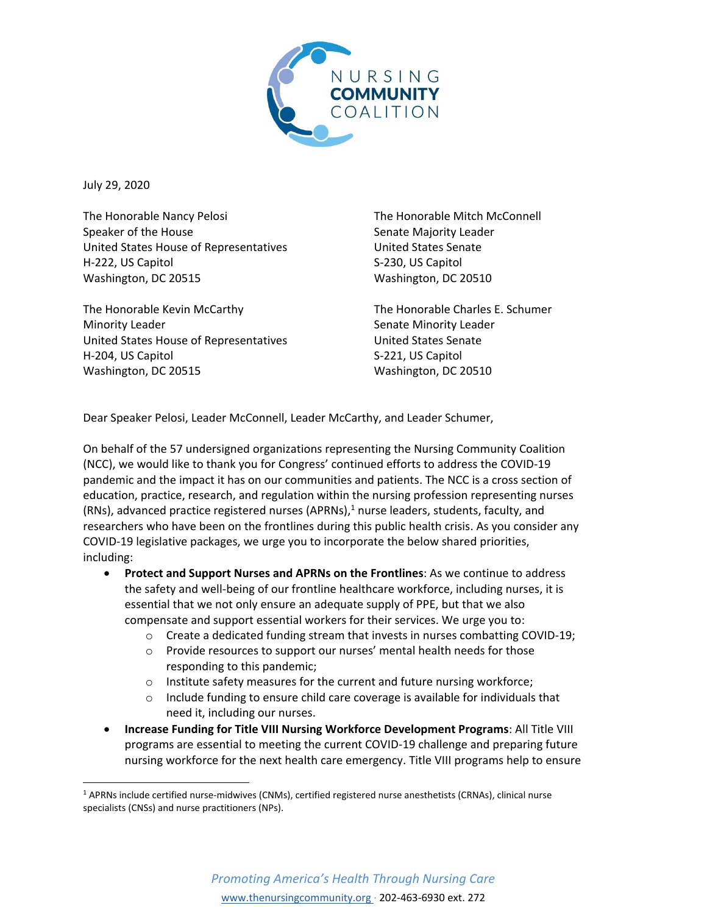

July 29, 2020

The Honorable Nancy Pelosi Speaker of the House United States House of Representatives H-222, US Capitol Washington, DC 20515

The Honorable Kevin McCarthy Minority Leader United States House of Representatives H-204, US Capitol Washington, DC 20515

The Honorable Mitch McConnell Senate Majority Leader United States Senate S-230, US Capitol Washington, DC 20510

The Honorable Charles E. Schumer Senate Minority Leader United States Senate S-221, US Capitol Washington, DC 20510

Dear Speaker Pelosi, Leader McConnell, Leader McCarthy, and Leader Schumer,

On behalf of the 57 undersigned organizations representing the Nursing Community Coalition (NCC), we would like to thank you for Congress' continued efforts to address the COVID-19 pandemic and the impact it has on our communities and patients. The NCC is a cross section of education, practice, research, and regulation within the nursing profession representing nurses (RNs), advanced practice registered nurses (APRNs), <sup>1</sup> nurse leaders, students, faculty, and researchers who have been on the frontlines during this public health crisis. As you consider any COVID-19 legislative packages, we urge you to incorporate the below shared priorities, including:

- **Protect and Support Nurses and APRNs on the Frontlines**: As we continue to address the safety and well-being of our frontline healthcare workforce, including nurses, it is essential that we not only ensure an adequate supply of PPE, but that we also compensate and support essential workers for their services. We urge you to:
	- $\circ$  Create a dedicated funding stream that invests in nurses combatting COVID-19;
	- o Provide resources to support our nurses' mental health needs for those responding to this pandemic;
	- o Institute safety measures for the current and future nursing workforce;
	- o Include funding to ensure child care coverage is available for individuals that need it, including our nurses.
- **Increase Funding for Title VIII Nursing Workforce Development Programs**: All Title VIII programs are essential to meeting the current COVID-19 challenge and preparing future nursing workforce for the next health care emergency. Title VIII programs help to ensure

<sup>1</sup> APRNs include certified nurse-midwives (CNMs), certified registered nurse anesthetists (CRNAs), clinical nurse specialists (CNSs) and nurse practitioners (NPs).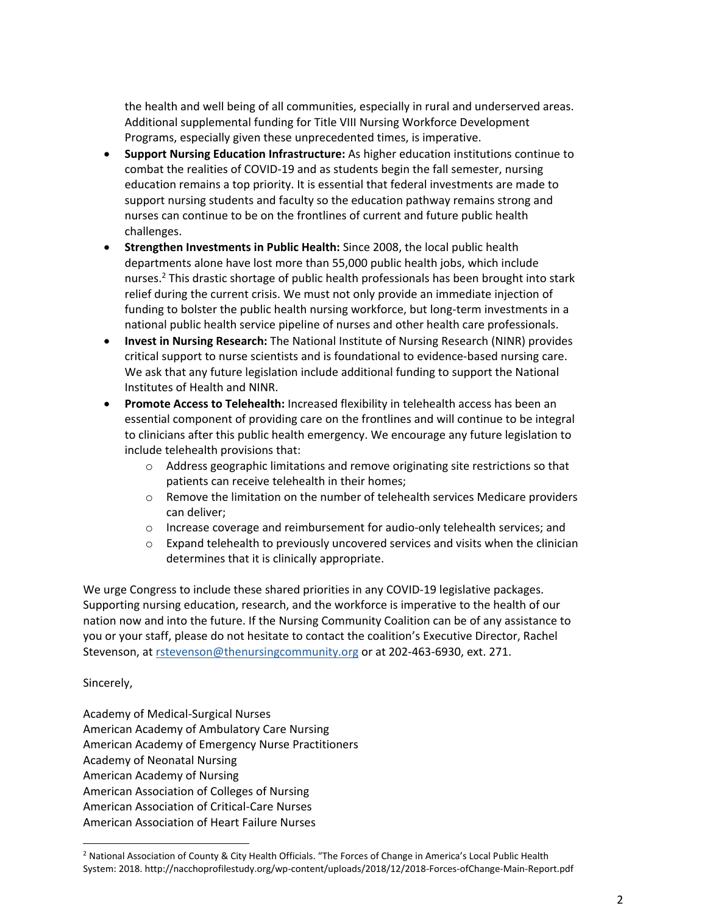the health and well being of all communities, especially in rural and underserved areas. Additional supplemental funding for Title VIII Nursing Workforce Development Programs, especially given these unprecedented times, is imperative.

- **Support Nursing Education Infrastructure:** As higher education institutions continue to combat the realities of COVID-19 and as students begin the fall semester, nursing education remains a top priority. It is essential that federal investments are made to support nursing students and faculty so the education pathway remains strong and nurses can continue to be on the frontlines of current and future public health challenges.
- **Strengthen Investments in Public Health:** Since 2008, the local public health departments alone have lost more than 55,000 public health jobs, which include nurses.<sup>2</sup> This drastic shortage of public health professionals has been brought into stark relief during the current crisis. We must not only provide an immediate injection of funding to bolster the public health nursing workforce, but long-term investments in a national public health service pipeline of nurses and other health care professionals.
- **Invest in Nursing Research:** The National Institute of Nursing Research (NINR) provides critical support to nurse scientists and is foundational to evidence-based nursing care. We ask that any future legislation include additional funding to support the National Institutes of Health and NINR.
- **Promote Access to Telehealth:** Increased flexibility in telehealth access has been an essential component of providing care on the frontlines and will continue to be integral to clinicians after this public health emergency. We encourage any future legislation to include telehealth provisions that:
	- $\circ$  Address geographic limitations and remove originating site restrictions so that patients can receive telehealth in their homes;
	- $\circ$  Remove the limitation on the number of telehealth services Medicare providers can deliver;
	- o Increase coverage and reimbursement for audio-only telehealth services; and
	- $\circ$  Expand telehealth to previously uncovered services and visits when the clinician determines that it is clinically appropriate.

We urge Congress to include these shared priorities in any COVID-19 legislative packages. Supporting nursing education, research, and the workforce is imperative to the health of our nation now and into the future. If the Nursing Community Coalition can be of any assistance to you or your staff, please do not hesitate to contact the coalition's Executive Director, Rachel Stevenson, at [rstevenson@thenursingcommunity.org](mailto:rstevenson@thenursingcommunity.org) or at 202-463-6930, ext. 271.

## Sincerely,

Academy of Medical-Surgical Nurses American Academy of Ambulatory Care Nursing American Academy of Emergency Nurse Practitioners Academy of Neonatal Nursing American Academy of Nursing American Association of Colleges of Nursing American Association of Critical-Care Nurses American Association of Heart Failure Nurses

<sup>&</sup>lt;sup>2</sup> National Association of County & City Health Officials. "The Forces of Change in America's Local Public Health System: 2018. http://nacchoprofilestudy.org/wp-content/uploads/2018/12/2018-Forces-ofChange-Main-Report.pdf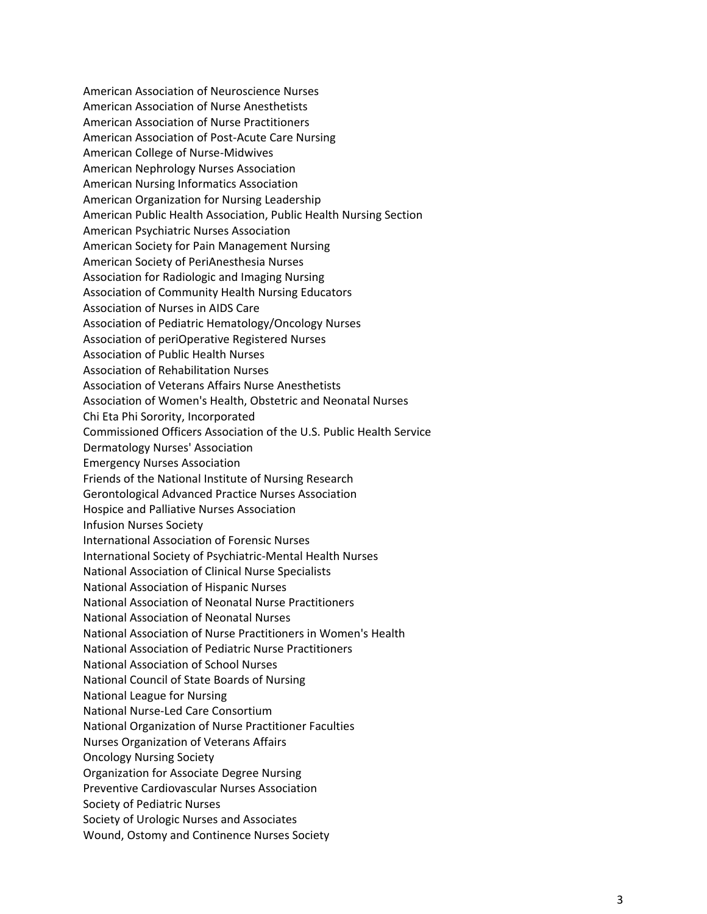American Association of Neuroscience Nurses American Association of Nurse Anesthetists American Association of Nurse Practitioners American Association of Post-Acute Care Nursing American College of Nurse-Midwives American Nephrology Nurses Association American Nursing Informatics Association American Organization for Nursing Leadership American Public Health Association, Public Health Nursing Section American Psychiatric Nurses Association American Society for Pain Management Nursing American Society of PeriAnesthesia Nurses Association for Radiologic and Imaging Nursing Association of Community Health Nursing Educators Association of Nurses in AIDS Care Association of Pediatric Hematology/Oncology Nurses Association of periOperative Registered Nurses Association of Public Health Nurses Association of Rehabilitation Nurses Association of Veterans Affairs Nurse Anesthetists Association of Women's Health, Obstetric and Neonatal Nurses Chi Eta Phi Sorority, Incorporated Commissioned Officers Association of the U.S. Public Health Service Dermatology Nurses' Association Emergency Nurses Association Friends of the National Institute of Nursing Research Gerontological Advanced Practice Nurses Association Hospice and Palliative Nurses Association Infusion Nurses Society International Association of Forensic Nurses International Society of Psychiatric-Mental Health Nurses National Association of Clinical Nurse Specialists National Association of Hispanic Nurses National Association of Neonatal Nurse Practitioners National Association of Neonatal Nurses National Association of Nurse Practitioners in Women's Health National Association of Pediatric Nurse Practitioners National Association of School Nurses National Council of State Boards of Nursing National League for Nursing National Nurse-Led Care Consortium National Organization of Nurse Practitioner Faculties Nurses Organization of Veterans Affairs Oncology Nursing Society Organization for Associate Degree Nursing Preventive Cardiovascular Nurses Association Society of Pediatric Nurses Society of Urologic Nurses and Associates Wound, Ostomy and Continence Nurses Society